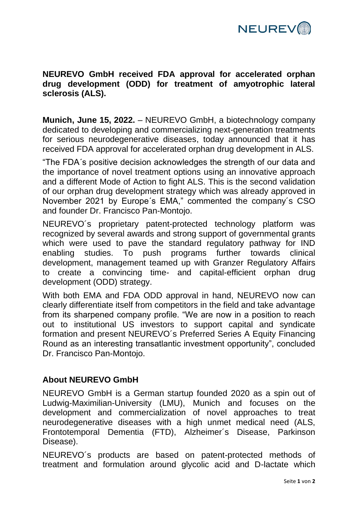

**NEUREVO GmbH received FDA approval for accelerated orphan drug development (ODD) for treatment of amyotrophic lateral sclerosis (ALS).**

**Munich, June 15, 2022.** – NEUREVO GmbH, a biotechnology company dedicated to developing and commercializing next-generation treatments for serious neurodegenerative diseases, today announced that it has received FDA approval for accelerated orphan drug development in ALS.

"The FDA´s positive decision acknowledges the strength of our data and the importance of novel treatment options using an innovative approach and a different Mode of Action to fight ALS. This is the second validation of our orphan drug development strategy which was already approved in November 2021 by Europe´s EMA," commented the company´s CSO and founder Dr. Francisco Pan-Montojo.

NEUREVO´s proprietary patent-protected technology platform was recognized by several awards and strong support of governmental grants which were used to pave the standard regulatory pathway for IND enabling studies. To push programs further towards clinical development, management teamed up with Granzer Regulatory Affairs to create a convincing time- and capital-efficient orphan drug development (ODD) strategy.

With both EMA and FDA ODD approval in hand, NEUREVO now can clearly differentiate itself from competitors in the field and take advantage from its sharpened company profile. "We are now in a position to reach out to institutional US investors to support capital and syndicate formation and present NEUREVO´s Preferred Series A Equity Financing Round as an interesting transatlantic investment opportunity", concluded Dr. Francisco Pan-Montojo.

## **About NEUREVO GmbH**

NEUREVO GmbH is a German startup founded 2020 as a spin out of Ludwig-Maximilian-University (LMU), Munich and focuses on the development and commercialization of novel approaches to treat neurodegenerative diseases with a high unmet medical need (ALS, Frontotemporal Dementia (FTD), Alzheimer´s Disease, Parkinson Disease).

NEUREVO´s products are based on patent-protected methods of treatment and formulation around glycolic acid and D-lactate which